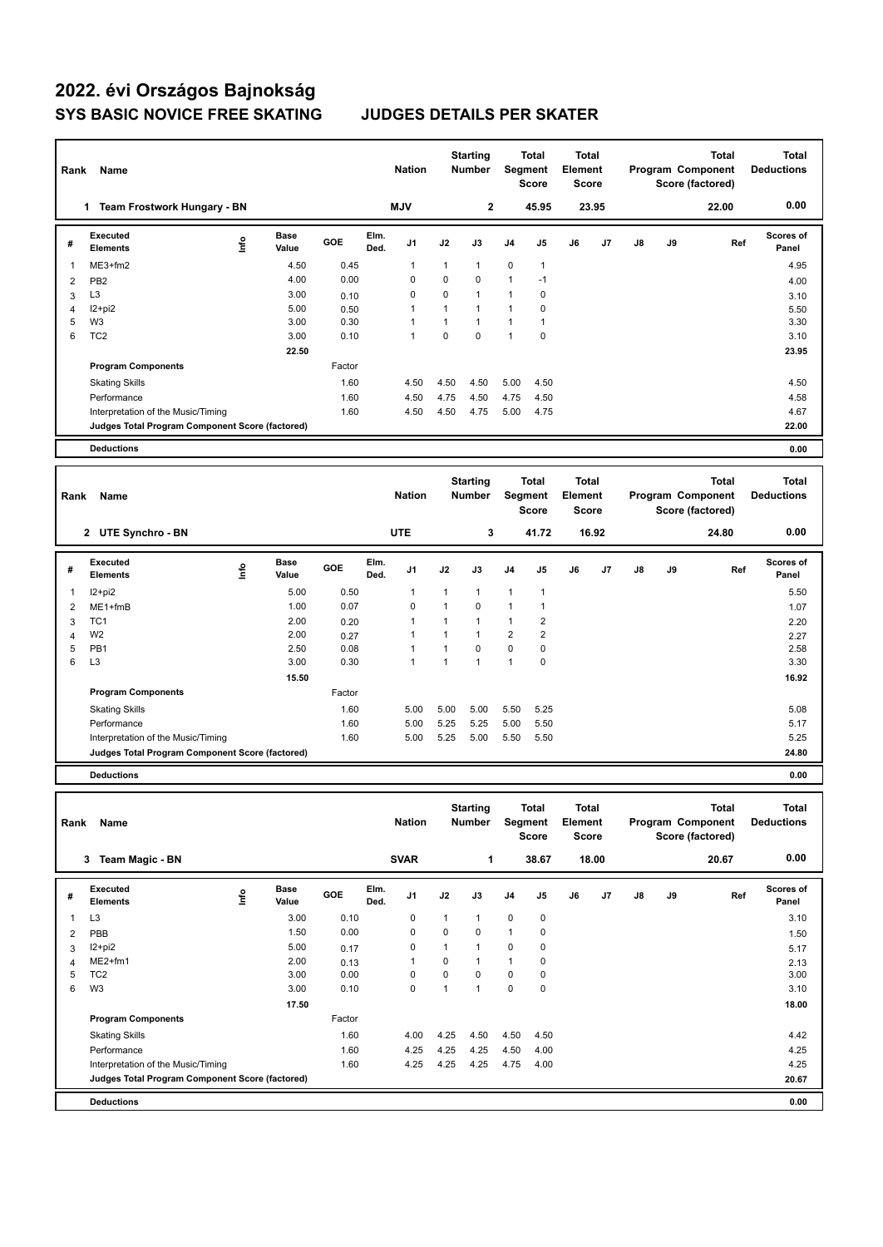## **2022. évi Országos Bajnokság SYS BASIC NOVICE FREE SKATING JUDGES DETAILS PER SKATER**

| Rank           | Name                                            |      |                      |        |              | <b>Nation</b> |                | <b>Starting</b><br><b>Number</b> |                | Total<br><b>Segment</b><br><b>Score</b>        | <b>Total</b><br>Element<br>Score               |                |               |    | <b>Total</b><br>Program Component<br>Score (factored) | <b>Total</b><br><b>Deductions</b> |
|----------------|-------------------------------------------------|------|----------------------|--------|--------------|---------------|----------------|----------------------------------|----------------|------------------------------------------------|------------------------------------------------|----------------|---------------|----|-------------------------------------------------------|-----------------------------------|
|                | 1 Team Frostwork Hungary - BN                   |      |                      |        |              | <b>MJV</b>    |                | $\mathbf 2$                      |                | 45.95                                          |                                                | 23.95          |               |    | 22.00                                                 | 0.00                              |
| #              | Executed<br><b>Elements</b>                     | Lnfo | <b>Base</b><br>Value | GOE    | Elm.<br>Ded. | J1            | J2             | J3                               | J <sub>4</sub> | J5                                             | J6                                             | J7             | $\mathsf{J}8$ | J9 | Ref                                                   | Scores of<br>Panel                |
| $\overline{1}$ | ME3+fm2                                         |      | 4.50                 | 0.45   |              | 1             | $\mathbf{1}$   | $\mathbf{1}$                     | 0              | $\mathbf{1}$                                   |                                                |                |               |    |                                                       | 4.95                              |
| $\overline{2}$ | PB <sub>2</sub>                                 |      | 4.00                 | 0.00   |              | $\mathbf 0$   | 0              | $\mathbf 0$                      | $\mathbf{1}$   | $-1$                                           |                                                |                |               |    |                                                       | 4.00                              |
| 3              | L <sub>3</sub>                                  |      | 3.00                 | 0.10   |              | $\mathbf 0$   | 0              | $\mathbf{1}$                     | $\mathbf{1}$   | 0                                              |                                                |                |               |    |                                                       | 3.10                              |
| $\overline{4}$ | $12+pi2$                                        |      | 5.00                 | 0.50   |              | 1             | $\mathbf{1}$   | $\overline{1}$                   | $\mathbf{1}$   | $\mathbf 0$                                    |                                                |                |               |    |                                                       | 5.50                              |
| 5              | W <sub>3</sub>                                  |      | 3.00                 | 0.30   |              | $\mathbf{1}$  | $\mathbf{1}$   | $\mathbf{1}$                     | $\mathbf{1}$   | $\mathbf{1}$                                   |                                                |                |               |    |                                                       | 3.30                              |
| 6              | TC <sub>2</sub>                                 |      | 3.00                 | 0.10   |              | $\mathbf{1}$  | $\overline{0}$ | $\Omega$                         | $\mathbf{1}$   | $\mathbf 0$                                    |                                                |                |               |    |                                                       | 3.10                              |
|                |                                                 |      | 22.50                |        |              |               |                |                                  |                |                                                |                                                |                |               |    |                                                       | 23.95                             |
|                | <b>Program Components</b>                       |      |                      | Factor |              |               |                |                                  |                |                                                |                                                |                |               |    |                                                       |                                   |
|                | <b>Skating Skills</b>                           |      |                      | 1.60   |              | 4.50          | 4.50           | 4.50                             | 5.00           | 4.50                                           |                                                |                |               |    |                                                       | 4.50                              |
|                | Performance                                     |      |                      | 1.60   |              | 4.50          | 4.75           | 4.50                             | 4.75           | 4.50                                           |                                                |                |               |    |                                                       | 4.58                              |
|                | Interpretation of the Music/Timing              |      |                      | 1.60   |              | 4.50          | 4.50           | 4.75                             | 5.00           | 4.75                                           |                                                |                |               |    |                                                       | 4.67                              |
|                | Judges Total Program Component Score (factored) |      |                      |        |              |               |                |                                  |                |                                                |                                                |                |               |    |                                                       | 22.00                             |
|                |                                                 |      |                      |        |              |               |                |                                  |                |                                                |                                                |                |               |    |                                                       |                                   |
|                | <b>Deductions</b>                               |      |                      |        |              |               |                |                                  |                |                                                |                                                |                |               |    |                                                       | 0.00                              |
|                |                                                 |      |                      |        |              |               |                |                                  |                |                                                |                                                |                |               |    |                                                       |                                   |
| Rank           | Name                                            |      |                      |        |              | <b>Nation</b> |                | <b>Starting</b><br><b>Number</b> |                | <b>Total</b><br><b>Segment</b><br><b>Score</b> | <b>Total</b><br><b>Element</b><br><b>Score</b> |                |               |    | <b>Total</b><br>Program Component<br>Score (factored) | <b>Total</b><br><b>Deductions</b> |
|                | 2 UTE Synchro - BN                              |      |                      |        |              | <b>UTE</b>    |                | 3                                |                | 41.72                                          |                                                | 16.92          |               |    | 24.80                                                 | 0.00                              |
| #              | Executed<br><b>Elements</b>                     | ۴ů   | Base<br>Value        | GOE    | Elm.<br>Ded. | J1            | J2             | J3                               | J4             | J5                                             | J6                                             | J <sub>7</sub> | J8            | J9 | Ref                                                   | <b>Scores of</b><br>Panel         |
| $\mathbf{1}$   | $12 + pi2$                                      |      | 5.00                 | 0.50   |              | 1             | $\mathbf{1}$   | $\mathbf{1}$                     | $\mathbf{1}$   | $\mathbf{1}$                                   |                                                |                |               |    |                                                       | 5.50                              |
| $\overline{2}$ | $ME1 + fmB$                                     |      | 1.00                 | 0.07   |              | $\mathbf 0$   | $\mathbf{1}$   | $\mathbf 0$                      | $\mathbf{1}$   | $\mathbf{1}$                                   |                                                |                |               |    |                                                       | 1.07                              |
| 3              | TC <sub>1</sub>                                 |      | 2.00                 | 0.20   |              | 1             | $\mathbf{1}$   | $\mathbf{1}$                     | $\mathbf{1}$   | $\overline{2}$                                 |                                                |                |               |    |                                                       | 2.20                              |
| $\overline{4}$ | W <sub>2</sub>                                  |      | 2.00                 | 0.27   |              | 1             | $\mathbf{1}$   | $\mathbf{1}$                     | $\overline{2}$ | $\overline{2}$                                 |                                                |                |               |    |                                                       | 2.27                              |
| 5              | PB <sub>1</sub>                                 |      | 2.50                 | 0.08   |              | 1             | $\mathbf{1}$   | $\Omega$                         | $\mathbf 0$    | 0                                              |                                                |                |               |    |                                                       | 2.58                              |
| 6              | L <sub>3</sub>                                  |      | 3.00                 | 0.30   |              | $\mathbf{1}$  | $\mathbf{1}$   | $\mathbf{1}$                     | $\mathbf{1}$   | 0                                              |                                                |                |               |    |                                                       | 3.30                              |
|                |                                                 |      | 15.50                |        |              |               |                |                                  |                |                                                |                                                |                |               |    |                                                       | 16.92                             |
|                | <b>Program Components</b>                       |      |                      | Factor |              |               |                |                                  |                |                                                |                                                |                |               |    |                                                       |                                   |
|                | <b>Skating Skills</b>                           |      |                      | 1.60   |              | 5.00          | 5.00           | 5.00                             | 5.50           | 5.25                                           |                                                |                |               |    |                                                       | 5.08                              |

**Judges Total Program Component Score (factored) 24.80**

**Deductions 0.00**

| Rank | Name                                            |   |                      |        |              | <b>Nation</b> |          | <b>Starting</b><br><b>Number</b> | Segment        | Total<br><b>Score</b> | <b>Total</b><br>Element<br><b>Score</b> |       |               |    | <b>Total</b><br>Program Component<br>Score (factored) | <b>Total</b><br><b>Deductions</b> |
|------|-------------------------------------------------|---|----------------------|--------|--------------|---------------|----------|----------------------------------|----------------|-----------------------|-----------------------------------------|-------|---------------|----|-------------------------------------------------------|-----------------------------------|
|      | <b>Team Magic - BN</b><br>3                     |   |                      |        |              | <b>SVAR</b>   |          | 1                                |                | 38.67                 |                                         | 18.00 |               |    | 20.67                                                 | 0.00                              |
| #    | <b>Executed</b><br><b>Elements</b>              | ۴ | <b>Base</b><br>Value | GOE    | Elm.<br>Ded. | J1            | J2       | J3                               | J <sub>4</sub> | J <sub>5</sub>        | J6                                      | J7    | $\mathsf{J}8$ | J9 | Ref                                                   | Scores of<br>Panel                |
| 1    | L <sub>3</sub>                                  |   | 3.00                 | 0.10   |              | 0             |          | 1                                | $\mathbf 0$    | 0                     |                                         |       |               |    |                                                       | 3.10                              |
| 2    | PBB                                             |   | 1.50                 | 0.00   |              | $\mathbf 0$   | $\Omega$ | 0                                | $\overline{1}$ | 0                     |                                         |       |               |    |                                                       | 1.50                              |
| 3    | $12+pi2$                                        |   | 5.00                 | 0.17   |              | 0             |          | 1                                | $\mathbf 0$    | 0                     |                                         |       |               |    |                                                       | 5.17                              |
| 4    | ME2+fm1                                         |   | 2.00                 | 0.13   |              | $\mathbf{1}$  | $\Omega$ | 1                                | $\overline{1}$ | 0                     |                                         |       |               |    |                                                       | 2.13                              |
| 5    | TC <sub>2</sub>                                 |   | 3.00                 | 0.00   |              | 0             | $\Omega$ | $\Omega$                         | $\Omega$       | 0                     |                                         |       |               |    |                                                       | 3.00                              |
| 6    | W <sub>3</sub>                                  |   | 3.00                 | 0.10   |              | 0             |          | 1                                | 0              | 0                     |                                         |       |               |    |                                                       | 3.10                              |
|      |                                                 |   | 17.50                |        |              |               |          |                                  |                |                       |                                         |       |               |    |                                                       | 18.00                             |
|      | <b>Program Components</b>                       |   |                      | Factor |              |               |          |                                  |                |                       |                                         |       |               |    |                                                       |                                   |
|      | <b>Skating Skills</b>                           |   |                      | 1.60   |              | 4.00          | 4.25     | 4.50                             | 4.50           | 4.50                  |                                         |       |               |    |                                                       | 4.42                              |
|      | Performance                                     |   |                      | 1.60   |              | 4.25          | 4.25     | 4.25                             | 4.50           | 4.00                  |                                         |       |               |    |                                                       | 4.25                              |
|      | Interpretation of the Music/Timing              |   |                      | 1.60   |              | 4.25          | 4.25     | 4.25                             | 4.75           | 4.00                  |                                         |       |               |    |                                                       | 4.25                              |
|      | Judges Total Program Component Score (factored) |   |                      |        |              |               |          |                                  |                |                       |                                         |       |               |    |                                                       | 20.67                             |
|      | <b>Deductions</b>                               |   |                      |        |              |               |          |                                  |                |                       |                                         |       |               |    |                                                       | 0.00                              |

Interpretation of the Music/Timing 1.60 5.00 5.25 5.00 5.50 5.50 5.25